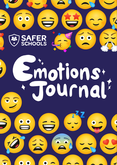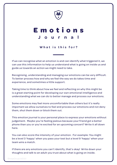

## **Emotions Journal**

**What is this for?**

If we can recognise what an emotion is and can identify what triggered it, we can use this information to help us understand what is going on inside us and guide us towards an action we might need to take.

Recognising, understanding and managing our emotions can be very difficult. To better process how and why we feel the way we do takes time and experience, and sometimes a little support.

Taking time to think about how we feel and reflecting on why this might be is a great starting point for developing our own emotional intelligence and understanding what we can do to better manage and process our emotions.

Some emotions may feel more uncomfortable than others but it's really important we allow ourselves to feel and process our emotions and not deny them, shut them down or block them out.

This emotion journal is your personal place to express your emotions without judgement. Maybe you're feeling jealous because your friend got a better phone than you or you're excited for an upcoming concert? Write it all down here.

You can also score the intensity of your emotion. For example: You might be a level 3 'happy' when you pass your test but a level 9 'happy' when your team wins a match.

If there are any emotions you can't identify, that's okay! Write down your thoughts and talk to an adult you trust about what is going on inside.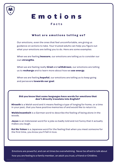

# **Emotions**

#### **Facts**

#### **What are emotions telling us?**

Our emotions, even the ones that feel uncomfortable, are giving us guidance on actions to take. Your trusted adults can help you figure out what your emotions are telling you to do. Here are some examples:

When we are feeling **insecure**, our emotions are telling us to consider our own **strengths**.

When we are feeling really **tired** and **withdrawn**, our emotions are telling us to **recharge** and to learn more about how we **use energy**.

When we are feeling **hopeful**, our emotions are telling us to keep going and persevere **towards our goal**.

#### **Did you know that some languages have words for emotions that don't directly translate into English?**

**Hiraeth** is a Welsh word and it means feeling a type of longing for home, or a time in your past, that you have positive memories of and would like to return to.

**Waldeinsamkeit** is a German word to describe the feeling of being alone in the woods.

**Jayus** is an Indonesian word for a joke so badly told and not funny that it actually makes you laugh.

**Koi No Yokan** is a Japanese word for the feeling that when you meet someone for the first time, you know you'll fall in love.

Emotions are powerful, and can at times be overwhelming. Never be afraid to talk about

how you are feeling to a family member, an adult you trust, a friend or Childline.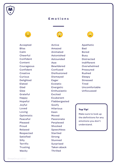

#### **Emotions**



Accepted **Bliss** Calm **Cheerful** Confident Content **Courageous** Confident **Creative Curious** Delighted Elated Glad Glee Grateful Happy Hopeful Joyful Loved Loving Optimistic Peaceful Pleased Proud Relaxed Respected **Satisfied** Silly **Terrific Trusting Wacky** 

Active Amazed Animated Astonished Astounded Awe Bewildered **Confused** Disillusioned **Dismayed** Eager Ecstatic Energetic Enthusiastic Excited Exuberant Flabbergasted Goofy **Hilarious** Keen Moved Passionate Perplexed **Shocked Speechless** Startled Strong **Stunned Surprised** Taken aback **Thrilled** 



Apathetic Bad Bored **Busy Distracted** Indifferent Overwhelmed Pressured Rushed Sleepy **Stressed Tired** Uncomfortable Unfocussed

#### **Top Tip!**

Make sure to look up the definitions for any emotions you don't understand.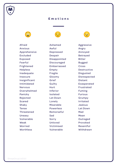

#### **Emotions**



Afraid Anxious Apprehensive Excluded Exposed Fearful Frightened **Helpless** Inadequate Insecure Insignificant Intimidated Nervous Overwhelmed Panicky Rejected **Scared** Shaky Tense Threatened Uneasy Vulnerable Weak Worried **Worthless** 

Ashamed Awful Depressed Despair Disappointed **Discouraged** Embarrassed Empty Fragile Gloomy Grief Guilty **Hurt** Inferior Isolated Let Down Lonely Miserable Powerless Remorseful **Sad** Sorry Unloved Victimised Vulnerable



Aggressive Angry Annoyed Betrayed Bitter Bugged **Cross** Destructive Disgusted Disrespected **Distant** Exasperated Frustrated Fuming Furious Grumpy Irritated Jealous Let Down Mad Mean **Outraged** Provoked Resentful Withdrawn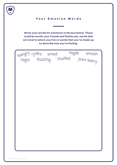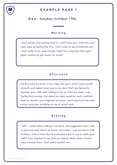

#### **EXAMPLE PAGE 1**

## **Day:** Monday October 19th

#### **Morning**

I feel anxious this morning, level 8. I don't know why I feel this way? I just woke up feeling like this. I don't want to eat breakfast and I feel really tired, even though I slept for a long time last night. I guess I better go get ready for school.

#### **Afternoon**

Mrs Bird held me back in her class, she said I didn't seem myself recently and asked what was on my mind. She's my favourite teacher and I felt safe talking to her so I told her what I was feeling this morning. She asked me some questions and I realised that my anxiety was triggered because i am trying to do too many extra curricular activities on top of school work.

#### **Evening**

I felt ... relief after talking to Mrs Bird. She suggested that I talk to mum and dad about my extra curriculars. I was nervous to talk to them, I didn't think they'd understand but it was a really good talk!!! They listened to me, then we talked about what I should take a break from. I feel really hopeful now.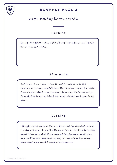

#### **EXAMPLE PAGE 2**

## **Day:** Monday December 5th

#### **Morning**

So dreading school today, wishing it was the weekend and I could just stay in bed all day.

#### **Afternoon**

Had lunch at my locker today so I didn't have to go to the canteen on my own – couldn't face the embarrassment. But Louise from science talked to me in class this morning. She's sooo lovely. I'd really like to be her friend but im afraid she won't want to be mine. . .

#### **Evening**

I thought about Louise on the way home and I've decided to take the risk and ask if I can sit with her at lunch. I feel really nervous about it because what if she says no? But she seems really nice and she likes the same music as me, so I can talk to her about that. I feel more hopeful about school tomorrow.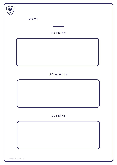